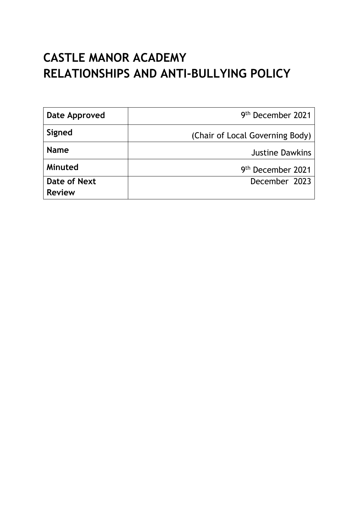# **CASTLE MANOR ACADEMY RELATIONSHIPS AND ANTI-BULLYING POLICY**

| Date Approved | 9 <sup>th</sup> December 2021   |
|---------------|---------------------------------|
| Signed        | (Chair of Local Governing Body) |
| <b>Name</b>   | <b>Justine Dawkins</b>          |
| Minuted       | 9 <sup>th</sup> December 2021   |
| Date of Next  | December 2023                   |
| <b>Review</b> |                                 |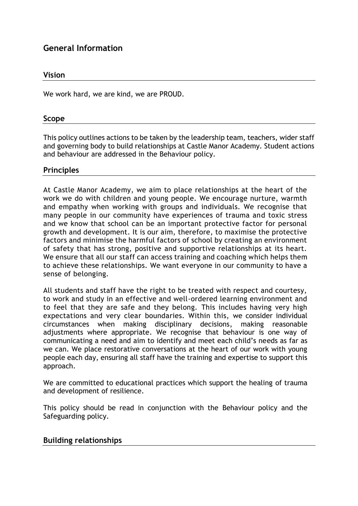## **General Information**

## **Vision**

We work hard, we are kind, we are PROUD.

#### **Scope**

This policy outlines actions to be taken by the leadership team, teachers, wider staff and governing body to build relationships at Castle Manor Academy. Student actions and behaviour are addressed in the Behaviour policy.

## **Principles**

At Castle Manor Academy, we aim to place relationships at the heart of the work we do with children and young people. We encourage nurture, warmth and empathy when working with groups and individuals. We recognise that many people in our community have experiences of trauma and toxic stress and we know that school can be an important protective factor for personal growth and development. It is our aim, therefore, to maximise the protective factors and minimise the harmful factors of school by creating an environment of safety that has strong, positive and supportive relationships at its heart. We ensure that all our staff can access training and coaching which helps them to achieve these relationships. We want everyone in our community to have a sense of belonging.

All students and staff have the right to be treated with respect and courtesy, to work and study in an effective and well-ordered learning environment and to feel that they are safe and they belong. This includes having very high expectations and very clear boundaries. Within this, we consider individual circumstances when making disciplinary decisions, making reasonable adjustments where appropriate. We recognise that behaviour is one way of communicating a need and aim to identify and meet each child's needs as far as we can. We place restorative conversations at the heart of our work with young people each day, ensuring all staff have the training and expertise to support this approach.

We are committed to educational practices which support the healing of trauma and development of resilience.

This policy should be read in conjunction with the Behaviour policy and the Safeguarding policy.

## **Building relationships**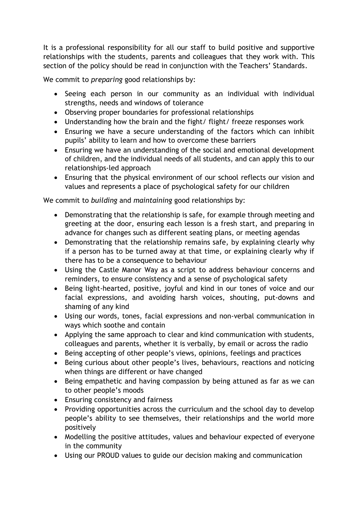It is a professional responsibility for all our staff to build positive and supportive relationships with the students, parents and colleagues that they work with. This section of the policy should be read in conjunction with the Teachers' Standards.

We commit to *preparing* good relationships by:

- Seeing each person in our community as an individual with individual strengths, needs and windows of tolerance
- Observing proper boundaries for professional relationships
- Understanding how the brain and the fight/ flight/ freeze responses work
- Ensuring we have a secure understanding of the factors which can inhibit pupils' ability to learn and how to overcome these barriers
- Ensuring we have an understanding of the social and emotional development of children, and the individual needs of all students, and can apply this to our relationships-led approach
- Ensuring that the physical environment of our school reflects our vision and values and represents a place of psychological safety for our children

We commit to *building* and *maintaining* good relationships by:

- Demonstrating that the relationship is safe, for example through meeting and greeting at the door, ensuring each lesson is a fresh start, and preparing in advance for changes such as different seating plans, or meeting agendas
- Demonstrating that the relationship remains safe, by explaining clearly why if a person has to be turned away at that time, or explaining clearly why if there has to be a consequence to behaviour
- Using the Castle Manor Way as a script to address behaviour concerns and reminders, to ensure consistency and a sense of psychological safety
- Being light-hearted, positive, joyful and kind in our tones of voice and our facial expressions, and avoiding harsh voices, shouting, put-downs and shaming of any kind
- Using our words, tones, facial expressions and non-verbal communication in ways which soothe and contain
- Applying the same approach to clear and kind communication with students, colleagues and parents, whether it is verbally, by email or across the radio
- Being accepting of other people's views, opinions, feelings and practices
- Being curious about other people's lives, behaviours, reactions and noticing when things are different or have changed
- Being empathetic and having compassion by being attuned as far as we can to other people's moods
- Ensuring consistency and fairness
- Providing opportunities across the curriculum and the school day to develop people's ability to see themselves, their relationships and the world more positively
- Modelling the positive attitudes, values and behaviour expected of everyone in the community
- Using our PROUD values to guide our decision making and communication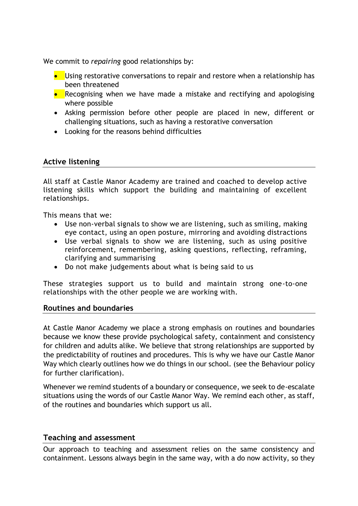We commit to *repairing* good relationships by:

- Using restorative conversations to repair and restore when a relationship has been threatened
- Recognising when we have made a mistake and rectifying and apologising where possible
- Asking permission before other people are placed in new, different or challenging situations, such as having a restorative conversation
- Looking for the reasons behind difficulties

## **Active listening**

All staff at Castle Manor Academy are trained and coached to develop active listening skills which support the building and maintaining of excellent relationships.

This means that we:

- Use non-verbal signals to show we are listening, such as smiling, making eye contact, using an open posture, mirroring and avoiding distractions
- Use verbal signals to show we are listening, such as using positive reinforcement, remembering, asking questions, reflecting, reframing, clarifying and summarising
- Do not make judgements about what is being said to us

These strategies support us to build and maintain strong one-to-one relationships with the other people we are working with.

## **Routines and boundaries**

At Castle Manor Academy we place a strong emphasis on routines and boundaries because we know these provide psychological safety, containment and consistency for children and adults alike. We believe that strong relationships are supported by the predictability of routines and procedures. This is why we have our Castle Manor Way which clearly outlines how we do things in our school. (see the Behaviour policy for further clarification).

Whenever we remind students of a boundary or consequence, we seek to de-escalate situations using the words of our Castle Manor Way. We remind each other, as staff, of the routines and boundaries which support us all.

## **Teaching and assessment**

Our approach to teaching and assessment relies on the same consistency and containment. Lessons always begin in the same way, with a do now activity, so they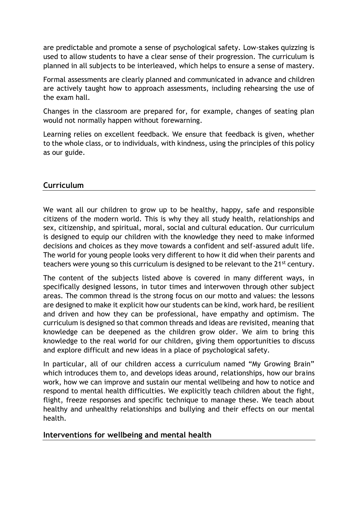are predictable and promote a sense of psychological safety. Low-stakes quizzing is used to allow students to have a clear sense of their progression. The curriculum is planned in all subjects to be interleaved, which helps to ensure a sense of mastery.

Formal assessments are clearly planned and communicated in advance and children are actively taught how to approach assessments, including rehearsing the use of the exam hall.

Changes in the classroom are prepared for, for example, changes of seating plan would not normally happen without forewarning.

Learning relies on excellent feedback. We ensure that feedback is given, whether to the whole class, or to individuals, with kindness, using the principles of this policy as our guide.

## **Curriculum**

We want all our children to grow up to be healthy, happy, safe and responsible citizens of the modern world. This is why they all study health, relationships and sex, citizenship, and spiritual, moral, social and cultural education. Our curriculum is designed to equip our children with the knowledge they need to make informed decisions and choices as they move towards a confident and self-assured adult life. The world for young people looks very different to how it did when their parents and teachers were young so this curriculum is designed to be relevant to the 21<sup>st</sup> century.

The content of the subjects listed above is covered in many different ways, in specifically designed lessons, in tutor times and interwoven through other subject areas. The common thread is the strong focus on our motto and values: the lessons are designed to make it explicit how our students can be kind, work hard, be resilient and driven and how they can be professional, have empathy and optimism. The curriculum is designed so that common threads and ideas are revisited, meaning that knowledge can be deepened as the children grow older. We aim to bring this knowledge to the real world for our children, giving them opportunities to discuss and explore difficult and new ideas in a place of psychological safety.

In particular, all of our children access a curriculum named "My Growing Brain" which introduces them to, and develops ideas around, relationships, how our brains work, how we can improve and sustain our mental wellbeing and how to notice and respond to mental health difficulties. We explicitly teach children about the fight, flight, freeze responses and specific technique to manage these. We teach about healthy and unhealthy relationships and bullying and their effects on our mental health.

## **Interventions for wellbeing and mental health**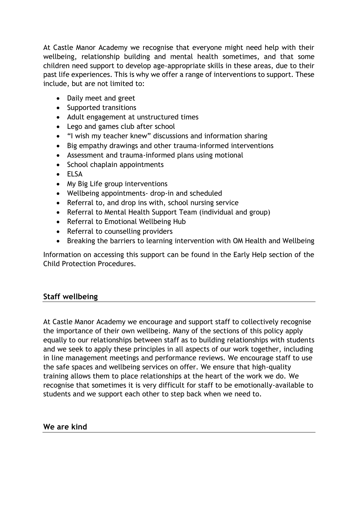At Castle Manor Academy we recognise that everyone might need help with their wellbeing, relationship building and mental health sometimes, and that some children need support to develop age-appropriate skills in these areas, due to their past life experiences. This is why we offer a range of interventions to support. These include, but are not limited to:

- Daily meet and greet
- Supported transitions
- Adult engagement at unstructured times
- Lego and games club after school
- "I wish my teacher knew" discussions and information sharing
- Big empathy drawings and other trauma-informed interventions
- Assessment and trauma-informed plans using motional
- School chaplain appointments
- ELSA
- My Big Life group interventions
- Wellbeing appointments- drop-in and scheduled
- Referral to, and drop ins with, school nursing service
- Referral to Mental Health Support Team (individual and group)
- Referral to Emotional Wellbeing Hub
- Referral to counselling providers
- Breaking the barriers to learning intervention with OM Health and Wellbeing

Information on accessing this support can be found in the Early Help section of the Child Protection Procedures.

## **Staff wellbeing**

At Castle Manor Academy we encourage and support staff to collectively recognise the importance of their own wellbeing. Many of the sections of this policy apply equally to our relationships between staff as to building relationships with students and we seek to apply these principles in all aspects of our work together, including in line management meetings and performance reviews. We encourage staff to use the safe spaces and wellbeing services on offer. We ensure that high-quality training allows them to place relationships at the heart of the work we do. We recognise that sometimes it is very difficult for staff to be emotionally-available to students and we support each other to step back when we need to.

## **We are kind**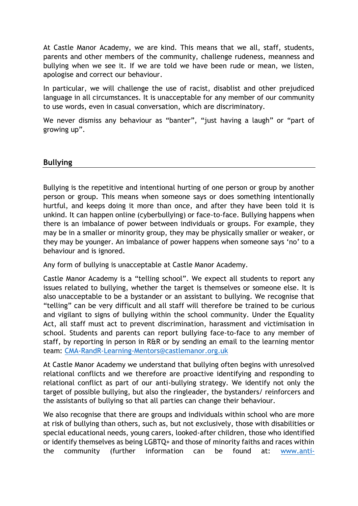At Castle Manor Academy, we are kind. This means that we all, staff, students, parents and other members of the community, challenge rudeness, meanness and bullying when we see it. If we are told we have been rude or mean, we listen, apologise and correct our behaviour.

In particular, we will challenge the use of racist, disablist and other prejudiced language in all circumstances. It is unacceptable for any member of our community to use words, even in casual conversation, which are discriminatory.

We never dismiss any behaviour as "banter", "just having a laugh" or "part of growing up".

## **Bullying**

Bullying is the repetitive and intentional hurting of one person or group by another person or group. This means when someone says or does something intentionally hurtful, and keeps doing it more than once, and after they have been told it is unkind. It can happen online (cyberbullying) or face-to-face. Bullying happens when there is an imbalance of power between individuals or groups. For example, they may be in a smaller or minority group, they may be physically smaller or weaker, or they may be younger. An imbalance of power happens when someone says 'no' to a behaviour and is ignored.

Any form of bullying is unacceptable at Castle Manor Academy.

Castle Manor Academy is a "telling school". We expect all students to report any issues related to bullying, whether the target is themselves or someone else. It is also unacceptable to be a bystander or an assistant to bullying. We recognise that "telling" can be very difficult and all staff will therefore be trained to be curious and vigilant to signs of bullying within the school community. Under the Equality Act, all staff must act to prevent discrimination, harassment and victimisation in school. Students and parents can report bullying face-to-face to any member of staff, by reporting in person in R&R or by sending an email to the learning mentor team: [CMA-RandR-Learning-Mentors@castlemanor.org.uk](mailto:CMA-RandR-Learning-Mentors@castlemanor.org.uk)

At Castle Manor Academy we understand that bullying often begins with unresolved relational conflicts and we therefore are proactive identifying and responding to relational conflict as part of our anti-bullying strategy. We identify not only the target of possible bullying, but also the ringleader, the bystanders/ reinforcers and the assistants of bullying so that all parties can change their behaviour.

We also recognise that there are groups and individuals within school who are more at risk of bullying than others, such as, but not exclusively, those with disabilities or special educational needs, young carers, looked-after children, those who identified or identify themselves as being LGBTQ+ and those of minority faiths and races within the community (further information can be found at: [www.anti-](http://www.anti-bullyingalliance.org.uk/)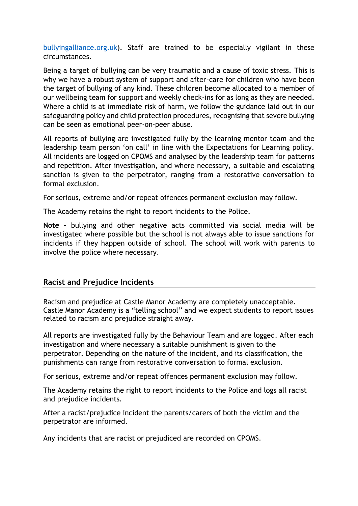[bullyingalliance.org.uk\)](http://www.anti-bullyingalliance.org.uk/). Staff are trained to be especially vigilant in these circumstances.

Being a target of bullying can be very traumatic and a cause of toxic stress. This is why we have a robust system of support and after-care for children who have been the target of bullying of any kind. These children become allocated to a member of our wellbeing team for support and weekly check-ins for as long as they are needed. Where a child is at immediate risk of harm, we follow the guidance laid out in our safeguarding policy and child protection procedures, recognising that severe bullying can be seen as emotional peer-on-peer abuse.

All reports of bullying are investigated fully by the learning mentor team and the leadership team person 'on call' in line with the Expectations for Learning policy. All incidents are logged on CPOMS and analysed by the leadership team for patterns and repetition. After investigation, and where necessary, a suitable and escalating sanction is given to the perpetrator, ranging from a restorative conversation to formal exclusion.

For serious, extreme and/or repeat offences permanent exclusion may follow.

The Academy retains the right to report incidents to the Police.

**Note –** bullying and other negative acts committed via social media will be investigated where possible but the school is not always able to issue sanctions for incidents if they happen outside of school. The school will work with parents to involve the police where necessary.

## **Racist and Prejudice Incidents**

Racism and prejudice at Castle Manor Academy are completely unacceptable. Castle Manor Academy is a "telling school" and we expect students to report issues related to racism and prejudice straight away.

All reports are investigated fully by the Behaviour Team and are logged. After each investigation and where necessary a suitable punishment is given to the perpetrator. Depending on the nature of the incident, and its classification, the punishments can range from restorative conversation to formal exclusion.

For serious, extreme and/or repeat offences permanent exclusion may follow.

The Academy retains the right to report incidents to the Police and logs all racist and prejudice incidents.

After a racist/prejudice incident the parents/carers of both the victim and the perpetrator are informed.

Any incidents that are racist or prejudiced are recorded on CPOMS.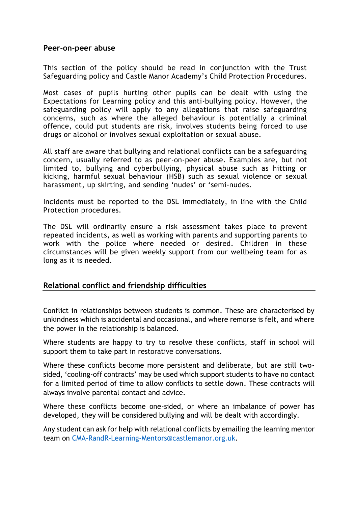## **Peer-on-peer abuse**

This section of the policy should be read in conjunction with the Trust Safeguarding policy and Castle Manor Academy's Child Protection Procedures.

Most cases of pupils hurting other pupils can be dealt with using the Expectations for Learning policy and this anti-bullying policy. However, the safeguarding policy will apply to any allegations that raise safeguarding concerns, such as where the alleged behaviour is potentially a criminal offence, could put students are risk, involves students being forced to use drugs or alcohol or involves sexual exploitation or sexual abuse.

All staff are aware that bullying and relational conflicts can be a safeguarding concern, usually referred to as peer-on-peer abuse. Examples are, but not limited to, bullying and cyberbullying, physical abuse such as hitting or kicking, harmful sexual behaviour (HSB) such as sexual violence or sexual harassment, up skirting, and sending 'nudes' or 'semi-nudes.

Incidents must be reported to the DSL immediately, in line with the Child Protection procedures.

The DSL will ordinarily ensure a risk assessment takes place to prevent repeated incidents, as well as working with parents and supporting parents to work with the police where needed or desired. Children in these circumstances will be given weekly support from our wellbeing team for as long as it is needed.

## **Relational conflict and friendship difficulties**

Conflict in relationships between students is common. These are characterised by unkindness which is accidental and occasional, and where remorse is felt, and where the power in the relationship is balanced.

Where students are happy to try to resolve these conflicts, staff in school will support them to take part in restorative conversations.

Where these conflicts become more persistent and deliberate, but are still twosided, 'cooling-off contracts' may be used which support students to have no contact for a limited period of time to allow conflicts to settle down. These contracts will always involve parental contact and advice.

Where these conflicts become one-sided, or where an imbalance of power has developed, they will be considered bullying and will be dealt with accordingly.

Any student can ask for help with relational conflicts by emailing the learning mentor team on [CMA-RandR-Learning-Mentors@castlemanor.org.uk.](mailto:CMA-RandR-Learning-Mentors@castlemanor.org.uk)